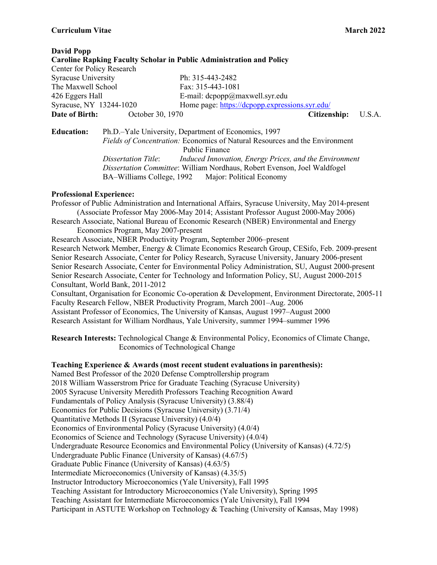# **Curriculum Vitae March 2022**

| <b>David Popp</b>          |                                                                                      |                                                                             |        |
|----------------------------|--------------------------------------------------------------------------------------|-----------------------------------------------------------------------------|--------|
|                            |                                                                                      | <b>Caroline Rapking Faculty Scholar in Public Administration and Policy</b> |        |
| Center for Policy Research |                                                                                      |                                                                             |        |
| <b>Syracuse University</b> |                                                                                      | Ph: 315-443-2482                                                            |        |
| The Maxwell School         |                                                                                      | Fax: 315-443-1081                                                           |        |
| 426 Eggers Hall            |                                                                                      | E-mail: $dcpopp@maxwell.syr.edu$                                            |        |
| Syracuse, NY 13244-1020    |                                                                                      | Home page: https://dcpopp.expressions.syr.edu/                              |        |
| Date of Birth:             | October 30, 1970                                                                     | Citizenship:                                                                | U.S.A. |
| <b>Education:</b>          |                                                                                      | Ph.D.-Yale University, Department of Economics, 1997                        |        |
|                            | <i>Fields of Concentration:</i> Economics of Natural Resources and the Environment   |                                                                             |        |
|                            |                                                                                      | Public Finance                                                              |        |
|                            | <b>Dissertation Title:</b><br>Induced Innovation, Energy Prices, and the Environment |                                                                             |        |
|                            | <i>Dissertation Committee:</i> William Nordhaus, Robert Evenson, Joel Waldfogel      |                                                                             |        |

BA–Williams College, 1992 Major: Political Economy

# **Professional Experience:**

Professor of Public Administration and International Affairs, Syracuse University, May 2014-present (Associate Professor May 2006-May 2014; Assistant Professor August 2000-May 2006) Research Associate, National Bureau of Economic Research (NBER) Environmental and Energy Economics Program, May 2007-present Research Associate, NBER Productivity Program, September 2006–present Research Network Member, Energy & Climate Economics Research Group, CESifo, Feb. 2009-present Senior Research Associate, Center for Policy Research, Syracuse University, January 2006-present Senior Research Associate, Center for Environmental Policy Administration, SU, August 2000-present Senior Research Associate, Center for Technology and Information Policy, SU, August 2000-2015 Consultant, World Bank, 2011-2012 Consultant, Organisation for Economic Co-operation & Development, Environment Directorate, 2005-11 Faculty Research Fellow, NBER Productivity Program, March 2001–Aug. 2006 Assistant Professor of Economics, The University of Kansas, August 1997–August 2000 Research Assistant for William Nordhaus, Yale University, summer 1994–summer 1996

**Research Interests:** Technological Change & Environmental Policy, Economics of Climate Change, Economics of Technological Change

# **Teaching Experience & Awards (most recent student evaluations in parenthesis):**

Named Best Professor of the 2020 Defense Comptrollership program

2018 William Wasserstrom Price for Graduate Teaching (Syracuse University)

2005 Syracuse University Meredith Professors Teaching Recognition Award

Fundamentals of Policy Analysis (Syracuse University) (3.88/4)

- Economics for Public Decisions (Syracuse University) (3.71/4)
- Quantitative Methods II (Syracuse University) (4.0/4)

Economics of Environmental Policy (Syracuse University) (4.0/4)

Economics of Science and Technology (Syracuse University) (4.0/4)

Undergraduate Resource Economics and Environmental Policy (University of Kansas) (4.72/5)

Undergraduate Public Finance (University of Kansas) (4.67/5)

Graduate Public Finance (University of Kansas) (4.63/5)

Intermediate Microeconomics (University of Kansas) (4.35/5)

Instructor Introductory Microeconomics (Yale University), Fall 1995

Teaching Assistant for Introductory Microeconomics (Yale University), Spring 1995

Teaching Assistant for Intermediate Microeconomics (Yale University), Fall 1994

Participant in ASTUTE Workshop on Technology & Teaching (University of Kansas, May 1998)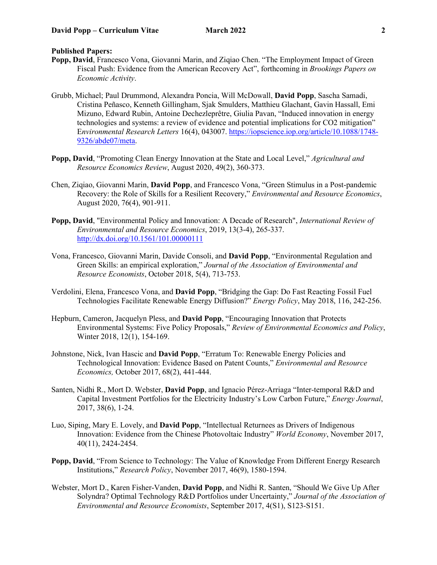# **Published Papers:**

- **Popp, David**, Francesco Vona, Giovanni Marin, and Ziqiao Chen. "The Employment Impact of Green Fiscal Push: Evidence from the American Recovery Act", forthcoming in *Brookings Papers on Economic Activity*.
- Grubb, Michael; Paul Drummond, Alexandra Poncia, Will McDowall, **David Popp**, Sascha Samadi, Cristina Peñasco, Kenneth Gillingham, Sjak Smulders, Matthieu Glachant, Gavin Hassall, Emi Mizuno, Edward Rubin, Antoine Dechezleprêtre, Giulia Pavan, "Induced innovation in energy technologies and systems: a review of evidence and potential implications for CO2 mitigation" E*nvironmental Research Letters* 16(4), 043007. [https://iopscience.iop.org/article/10.1088/1748-](https://iopscience.iop.org/article/10.1088/1748-9326/abde07/meta) [9326/abde07/meta.](https://iopscience.iop.org/article/10.1088/1748-9326/abde07/meta)
- **Popp, David**, "Promoting Clean Energy Innovation at the State and Local Level," *Agricultural and Resource Economics Review*, August 2020, 49(2), 360-373.
- Chen, Ziqiao, Giovanni Marin, **David Popp**, and Francesco Vona, "Green Stimulus in a Post-pandemic Recovery: the Role of Skills for a Resilient Recovery," *Environmental and Resource Economics*, August 2020, 76(4), 901-911.
- **Popp, David**, "Environmental Policy and Innovation: A Decade of Research", *International Review of Environmental and Resource Economics*, 2019, 13(3-4), 265-337. <http://dx.doi.org/10.1561/101.00000111>
- Vona, Francesco, Giovanni Marin, Davide Consoli, and **David Popp**, "Environmental Regulation and Green Skills: an empirical exploration," *Journal of the Association of Environmental and Resource Economists*, October 2018, 5(4), 713-753.
- Verdolini, Elena, Francesco Vona, and **David Popp**, "Bridging the Gap: Do Fast Reacting Fossil Fuel Technologies Facilitate Renewable Energy Diffusion?" *Energy Policy*, May 2018, 116, 242-256.
- Hepburn, Cameron, Jacquelyn Pless, and **David Popp**, "Encouraging Innovation that Protects Environmental Systems: Five Policy Proposals," *Review of Environmental Economics and Policy*, Winter 2018, 12(1), 154-169.
- Johnstone, Nick, Ivan Hascic and **David Popp**, "Erratum To: Renewable Energy Policies and Technological Innovation: Evidence Based on Patent Counts," *Environmental and Resource Economics,* October 2017, 68(2), 441-444.
- Santen, Nidhi R., Mort D. Webster, **David Popp**, and Ignacio Pérez-Arriaga "Inter-temporal R&D and Capital Investment Portfolios for the Electricity Industry's Low Carbon Future," *Energy Journal*, 2017, 38(6), 1-24.
- Luo, Siping, Mary E. Lovely, and **David Popp**, "Intellectual Returnees as Drivers of Indigenous Innovation: Evidence from the Chinese Photovoltaic Industry" *World Economy*, November 2017, 40(11), 2424-2454.
- **Popp, David**, "From Science to Technology: The Value of Knowledge From Different Energy Research Institutions," *Research Policy*, November 2017, 46(9), 1580-1594.
- Webster, Mort D., Karen Fisher-Vanden, **David Popp**, and Nidhi R. Santen, "Should We Give Up After Solyndra? Optimal Technology R&D Portfolios under Uncertainty," *Journal of the Association of Environmental and Resource Economists*, September 2017, 4(S1), S123-S151.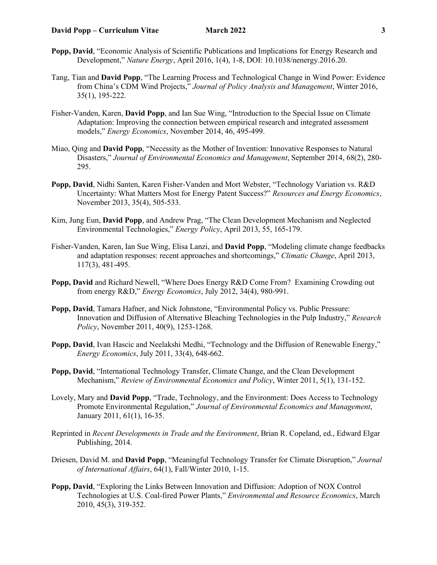- **Popp, David**, "Economic Analysis of Scientific Publications and Implications for Energy Research and Development," *Nature Energy*, April 2016, 1(4), 1-8, DOI: 10.1038/nenergy.2016.20.
- Tang, Tian and **David Popp**, "The Learning Process and Technological Change in Wind Power: Evidence from China's CDM Wind Projects," *Journal of Policy Analysis and Management*, Winter 2016, 35(1), 195-222.
- Fisher-Vanden, Karen, **David Popp**, and Ian Sue Wing, "Introduction to the Special Issue on Climate Adaptation: Improving the connection between empirical research and integrated assessment models," *Energy Economics*, November 2014, 46, 495-499.
- Miao, Qing and **David Popp**, "Necessity as the Mother of Invention: Innovative Responses to Natural Disasters," *Journal of Environmental Economics and Management*, September 2014, 68(2), 280- 295.
- **Popp, David**, Nidhi Santen, Karen Fisher-Vanden and Mort Webster, "Technology Variation vs. R&D Uncertainty: What Matters Most for Energy Patent Success?" *Resources and Energy Economics*, November 2013, 35(4), 505-533.
- Kim, Jung Eun, **David Popp**, and Andrew Prag, "The Clean Development Mechanism and Neglected Environmental Technologies," *Energy Policy*, April 2013, 55, 165-179.
- Fisher-Vanden, Karen, Ian Sue Wing, Elisa Lanzi, and **David Popp**, "Modeling climate change feedbacks and adaptation responses: recent approaches and shortcomings," *Climatic Change*, April 2013, 117(3), 481-495.
- **Popp, David** and Richard Newell, "Where Does Energy R&D Come From? Examining Crowding out from energy R&D," *Energy Economics*, July 2012, 34(4), 980-991.
- **Popp, David**, Tamara Hafner, and Nick Johnstone, "Environmental Policy vs. Public Pressure: Innovation and Diffusion of Alternative Bleaching Technologies in the Pulp Industry," *Research Policy*, November 2011, 40(9), 1253-1268.
- **Popp, David**, Ivan Hascic and Neelakshi Medhi, "Technology and the Diffusion of Renewable Energy," *Energy Economics*, July 2011, 33(4), 648-662.
- **Popp, David**, "International Technology Transfer, Climate Change, and the Clean Development Mechanism," *Review of Environmental Economics and Policy*, Winter 2011, 5(1), 131-152.
- Lovely, Mary and **David Popp**, "Trade, Technology, and the Environment: Does Access to Technology Promote Environmental Regulation," *Journal of Environmental Economics and Management*, January 2011, 61(1), 16-35.
- Reprinted in *Recent Developments in Trade and the Environment*, Brian R. Copeland, ed., Edward Elgar Publishing, 2014.
- Driesen, David M. and **David Popp**, "Meaningful Technology Transfer for Climate Disruption," *Journal of International Affairs*, 64(1), Fall/Winter 2010, 1-15.
- **Popp, David**, "Exploring the Links Between Innovation and Diffusion: Adoption of NOX Control Technologies at U.S. Coal-fired Power Plants," *Environmental and Resource Economics*, March 2010, 45(3), 319-352.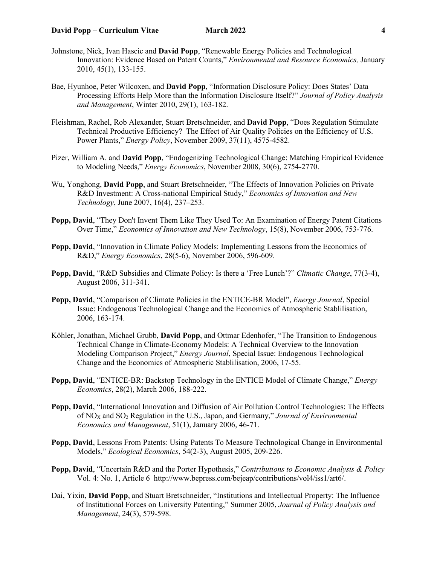- Johnstone, Nick, Ivan Hascic and **David Popp**, "Renewable Energy Policies and Technological Innovation: Evidence Based on Patent Counts," *Environmental and Resource Economics,* January 2010, 45(1), 133-155.
- Bae, Hyunhoe, Peter Wilcoxen, and **David Popp**, "Information Disclosure Policy: Does States' Data Processing Efforts Help More than the Information Disclosure Itself?" *Journal of Policy Analysis and Management*, Winter 2010, 29(1), 163-182.
- Fleishman, Rachel, Rob Alexander, Stuart Bretschneider, and **David Popp**, "Does Regulation Stimulate Technical Productive Efficiency? The Effect of Air Quality Policies on the Efficiency of U.S. Power Plants," *Energy Policy*, November 2009, 37(11), 4575-4582.
- Pizer, William A. and **David Popp**, "Endogenizing Technological Change: Matching Empirical Evidence to Modeling Needs," *Energy Economics*, November 2008, 30(6), 2754-2770.
- Wu, Yonghong, **David Popp**, and Stuart Bretschneider, "The Effects of Innovation Policies on Private R&D Investment: A Cross-national Empirical Study," *Economics of Innovation and New Technology*, June 2007, 16(4), 237–253.
- **Popp, David**, "They Don't Invent Them Like They Used To: An Examination of Energy Patent Citations Over Time," *Economics of Innovation and New Technology*, 15(8), November 2006, 753-776.
- **Popp, David**, "Innovation in Climate Policy Models: Implementing Lessons from the Economics of R&D," *Energy Economics*, 28(5-6), November 2006, 596-609.
- **Popp, David**, "R&D Subsidies and Climate Policy: Is there a 'Free Lunch'?" *Climatic Change*, 77(3-4), August 2006, 311-341.
- **Popp, David**, "Comparison of Climate Policies in the ENTICE-BR Model", *Energy Journal*, Special Issue: Endogenous Technological Change and the Economics of Atmospheric Stablilisation, 2006, 163-174.
- Köhler, Jonathan, Michael Grubb, **David Popp**, and Ottmar Edenhofer, "The Transition to Endogenous Technical Change in Climate-Economy Models: A Technical Overview to the Innovation Modeling Comparison Project," *Energy Journal*, Special Issue: Endogenous Technological Change and the Economics of Atmospheric Stablilisation, 2006, 17-55.
- **Popp, David**, "ENTICE-BR: Backstop Technology in the ENTICE Model of Climate Change," *Energy Economics*, 28(2), March 2006, 188-222.
- **Popp, David**, "International Innovation and Diffusion of Air Pollution Control Technologies: The Effects of NOX and SO2 Regulation in the U.S., Japan, and Germany," *Journal of Environmental Economics and Management*, 51(1), January 2006, 46-71.
- **Popp, David**, Lessons From Patents: Using Patents To Measure Technological Change in Environmental Models," *Ecological Economics*, 54(2-3), August 2005, 209-226.
- **Popp, David**, "Uncertain R&D and the Porter Hypothesis," *Contributions to Economic Analysis & Policy* Vol. 4: No. 1, Article 6 http://www.bepress.com/bejeap/contributions/vol4/iss1/art6/.
- Dai, Yixin, **David Popp**, and Stuart Bretschneider, "Institutions and Intellectual Property: The Influence of Institutional Forces on University Patenting," Summer 2005, *Journal of Policy Analysis and Management*, 24(3), 579-598.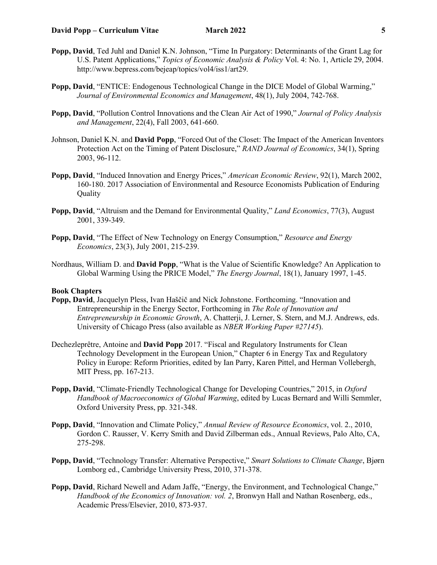- **Popp, David**, "ENTICE: Endogenous Technological Change in the DICE Model of Global Warming," *Journal of Environmental Economics and Management*, 48(1), July 2004, 742-768.
- **Popp, David**, "Pollution Control Innovations and the Clean Air Act of 1990," *Journal of Policy Analysis and Management*, 22(4), Fall 2003, 641-660.
- Johnson, Daniel K.N. and **David Popp**, "Forced Out of the Closet: The Impact of the American Inventors Protection Act on the Timing of Patent Disclosure," *RAND Journal of Economics*, 34(1), Spring 2003, 96-112.
- **Popp, David**, "Induced Innovation and Energy Prices," *American Economic Review*, 92(1), March 2002, 160-180. 2017 Association of Environmental and Resource Economists Publication of Enduring **Quality**
- **Popp, David**, "Altruism and the Demand for Environmental Quality," *Land Economics*, 77(3), August 2001, 339-349.
- **Popp, David**, "The Effect of New Technology on Energy Consumption," *Resource and Energy Economics*, 23(3), July 2001, 215-239.
- Nordhaus, William D. and **David Popp**, "What is the Value of Scientific Knowledge? An Application to Global Warming Using the PRICE Model," *The Energy Journal*, 18(1), January 1997, 1-45.

## **Book Chapters**

- **Popp, David**, Jacquelyn Pless, Ivan Haščič and Nick Johnstone. Forthcoming. "Innovation and Entrepreneurship in the Energy Sector, Forthcoming in *The Role of Innovation and Entrepreneurship in Economic Growth*, A. Chatterji, J. Lerner, S. Stern, and M.J. Andrews, eds. University of Chicago Press (also available as *NBER Working Paper #27145*).
- Dechezleprêtre, Antoine and **David Popp** 2017. "Fiscal and Regulatory Instruments for Clean Technology Development in the European Union," Chapter 6 in Energy Tax and Regulatory Policy in Europe: Reform Priorities, edited by Ian Parry, Karen Pittel, and Herman Vollebergh, MIT Press, pp. 167-213.
- **Popp, David**, "Climate-Friendly Technological Change for Developing Countries," 2015, in *Oxford Handbook of Macroeconomics of Global Warming*, edited by Lucas Bernard and Willi Semmler, Oxford University Press, pp. 321-348.
- **Popp, David**, "Innovation and Climate Policy," *Annual Review of Resource Economics*, vol. 2., 2010, Gordon C. Rausser, V. Kerry Smith and David Zilberman eds., Annual Reviews, Palo Alto, CA, 275-298.
- **Popp, David**, "Technology Transfer: Alternative Perspective," *Smart Solutions to Climate Change*, Bjørn Lomborg ed., Cambridge University Press, 2010, 371-378.
- **Popp, David**, Richard Newell and Adam Jaffe, "Energy, the Environment, and Technological Change," *Handbook of the Economics of Innovation: vol. 2*, Bronwyn Hall and Nathan Rosenberg, eds., Academic Press/Elsevier, 2010, 873-937.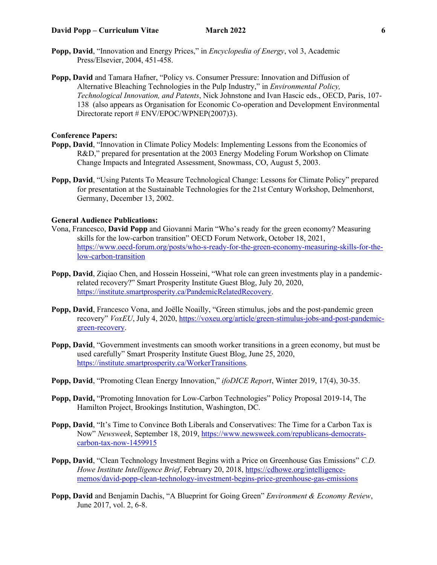- **Popp, David**, "Innovation and Energy Prices," in *Encyclopedia of Energy*, vol 3, Academic Press/Elsevier, 2004, 451-458.
- **Popp, David** and Tamara Hafner, "Policy vs. Consumer Pressure: Innovation and Diffusion of Alternative Bleaching Technologies in the Pulp Industry," in *Environmental Policy, Technological Innovation, and Patents*, Nick Johnstone and Ivan Hascic eds., OECD, Paris, 107- 138 (also appears as Organisation for Economic Co-operation and Development Environmental Directorate report # ENV/EPOC/WPNEP(2007)3).

#### **Conference Papers:**

- **Popp, David**, "Innovation in Climate Policy Models: Implementing Lessons from the Economics of R&D," prepared for presentation at the 2003 Energy Modeling Forum Workshop on Climate Change Impacts and Integrated Assessment, Snowmass, CO, August 5, 2003.
- **Popp, David**, "Using Patents To Measure Technological Change: Lessons for Climate Policy" prepared for presentation at the Sustainable Technologies for the 21st Century Workshop, Delmenhorst, Germany, December 13, 2002.

## **General Audience Publications:**

- Vona, Francesco, **David Popp** and Giovanni Marin "Who's ready for the green economy? Measuring skills for the low-carbon transition" OECD Forum Network, October 18, 2021, [https://www.oecd-forum.org/posts/who-s-ready-for-the-green-economy-measuring-skills-for-the](https://www.oecd-forum.org/posts/who-s-ready-for-the-green-economy-measuring-skills-for-the-low-carbon-transition)[low-carbon-transition](https://www.oecd-forum.org/posts/who-s-ready-for-the-green-economy-measuring-skills-for-the-low-carbon-transition)
- **Popp, David**, Ziqiao Chen, and Hossein Hosseini, "What role can green investments play in a pandemicrelated recovery?" Smart Prosperity Institute Guest Blog, July 20, 2020, [https://institute.smartprosperity.ca/PandemicRelatedRecovery.](https://institute.smartprosperity.ca/PandemicRelatedRecovery)
- **Popp, David**, Francesco Vona, and Joëlle Noailly, "Green stimulus, jobs and the post-pandemic green recovery" *VoxEU*, July 4, 2020, [https://voxeu.org/article/green-stimulus-jobs-and-post-pandemic](https://voxeu.org/article/green-stimulus-jobs-and-post-pandemic-green-recovery)[green-recovery.](https://voxeu.org/article/green-stimulus-jobs-and-post-pandemic-green-recovery)
- **Popp, David**, "Government investments can smooth worker transitions in a green economy, but must be used carefully" Smart Prosperity Institute Guest Blog, June 25, 2020, [https://institute.smartprosperity.ca/WorkerTransitions.](https://institute.smartprosperity.ca/WorkerTransitions)
- **Popp, David**, "Promoting Clean Energy Innovation," *ifoDICE Report*, Winter 2019, 17(4), 30-35.
- **Popp, David,** "Promoting Innovation for Low-Carbon Technologies" Policy Proposal 2019-14, The Hamilton Project, Brookings Institution, Washington, DC.
- **Popp, David**, "It's Time to Convince Both Liberals and Conservatives: The Time for a Carbon Tax is Now" *Newsweek*, September 18, 2019, [https://www.newsweek.com/republicans-democrats](https://www.newsweek.com/republicans-democrats-carbon-tax-now-1459915)[carbon-tax-now-1459915](https://www.newsweek.com/republicans-democrats-carbon-tax-now-1459915)
- **Popp, David**, "Clean Technology Investment Begins with a Price on Greenhouse Gas Emissions" *C.D. Howe Institute Intelligence Brief*, February 20, 2018, [https://cdhowe.org/intelligence](https://cdhowe.org/intelligence-memos/david-popp-clean-technology-investment-begins-price-greenhouse-gas-emissions)[memos/david-popp-clean-technology-investment-begins-price-greenhouse-gas-emissions](https://cdhowe.org/intelligence-memos/david-popp-clean-technology-investment-begins-price-greenhouse-gas-emissions)
- **Popp, David** and Benjamin Dachis, "A Blueprint for Going Green" *Environment & Economy Review*, June 2017, vol. 2, 6-8.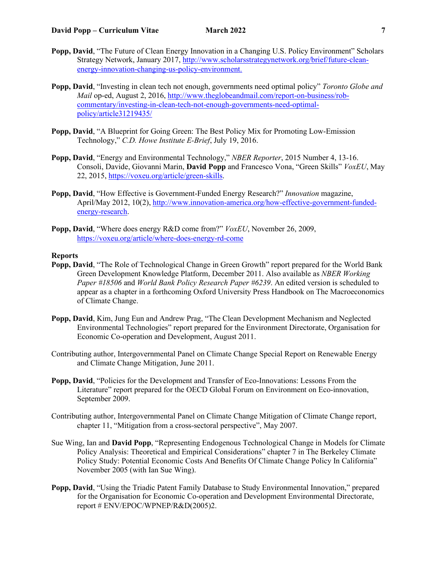- **Popp, David**, "The Future of Clean Energy Innovation in a Changing U.S. Policy Environment" Scholars Strategy Network, January 2017, [http://www.scholarsstrategynetwork.org/brief/future-clean](http://www.scholarsstrategynetwork.org/brief/future-clean-energy-innovation-changing-us-policy-environment)[energy-innovation-changing-us-policy-environment.](http://www.scholarsstrategynetwork.org/brief/future-clean-energy-innovation-changing-us-policy-environment)
- **Popp, David**, "Investing in clean tech not enough, governments need optimal policy" *Toronto Globe and Mail* op-ed, August 2, 2016, [http://www.theglobeandmail.com/report-on-business/rob](http://www.theglobeandmail.com/report-on-business/rob-commentary/investing-in-clean-tech-not-enough-governments-need-optimal-policy/article31219435/)[commentary/investing-in-clean-tech-not-enough-governments-need-optimal](http://www.theglobeandmail.com/report-on-business/rob-commentary/investing-in-clean-tech-not-enough-governments-need-optimal-policy/article31219435/)[policy/article31219435/](http://www.theglobeandmail.com/report-on-business/rob-commentary/investing-in-clean-tech-not-enough-governments-need-optimal-policy/article31219435/)
- **Popp, David**, "A Blueprint for Going Green: The Best Policy Mix for Promoting Low-Emission Technology," *C.D. Howe Institute E-Brief*, July 19, 2016.
- **Popp, David**, "Energy and Environmental Technology," *NBER Reporter*, 2015 Number 4, 13-16. Consoli, Davide, Giovanni Marin, **David Popp** and Francesco Vona, "Green Skills" *VoxEU*, May 22, 2015, [https://voxeu.org/article/green-skills.](https://voxeu.org/article/green-skills)
- **Popp, David**, "How Effective is Government-Funded Energy Research?" *Innovation* magazine, April/May 2012, 10(2), [http://www.innovation-america.org/how-effective-government-funded](http://www.innovation-america.org/how-effective-government-funded-energy-research)[energy-research.](http://www.innovation-america.org/how-effective-government-funded-energy-research)
- **Popp, David**, "Where does energy R&D come from?" *VoxEU*, November 26, 2009, <https://voxeu.org/article/where-does-energy-rd-come>

#### **Reports**

- **Popp, David**, "The Role of Technological Change in Green Growth" report prepared for the World Bank Green Development Knowledge Platform, December 2011. Also available as *NBER Working Paper #18506* and *World Bank Policy Research Paper #6239*. An edited version is scheduled to appear as a chapter in a forthcoming Oxford University Press Handbook on The Macroeconomics of Climate Change.
- **Popp, David**, Kim, Jung Eun and Andrew Prag, "The Clean Development Mechanism and Neglected Environmental Technologies" report prepared for the Environment Directorate, Organisation for Economic Co-operation and Development, August 2011.
- Contributing author, Intergovernmental Panel on Climate Change Special Report on Renewable Energy and Climate Change Mitigation, June 2011.
- **Popp, David**, "Policies for the Development and Transfer of Eco-Innovations: Lessons From the Literature" report prepared for the OECD Global Forum on Environment on Eco-innovation, September 2009.
- Contributing author, Intergovernmental Panel on Climate Change Mitigation of Climate Change report, chapter 11, "Mitigation from a cross-sectoral perspective", May 2007.
- Sue Wing, Ian and **David Popp**, "Representing Endogenous Technological Change in Models for Climate Policy Analysis: Theoretical and Empirical Considerations" chapter 7 in The Berkeley Climate Policy Study: Potential Economic Costs And Benefits Of Climate Change Policy In California" November 2005 (with Ian Sue Wing).
- **Popp, David**, "Using the Triadic Patent Family Database to Study Environmental Innovation," prepared for the Organisation for Economic Co-operation and Development Environmental Directorate, report # ENV/EPOC/WPNEP/R&D(2005)2.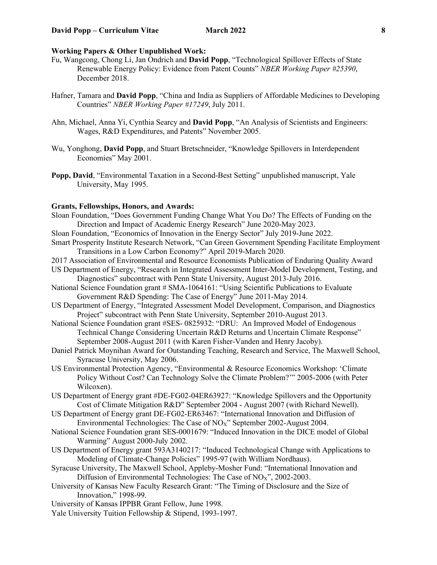## **Working Papers & Other Unpublished Work:**

- Fu, Wangcong, Chong Li, Jan Ondrich and **David Popp**, "Technological Spillover Effects of State Renewable Energy Policy: Evidence from Patent Counts" *NBER Working Paper #25390*, December 2018.
- Hafner, Tamara and **David Popp**, "China and India as Suppliers of Affordable Medicines to Developing Countries" *NBER Working Paper #17249*, July 2011.
- Ahn, Michael, Anna Yi, Cynthia Searcy and **David Popp**, "An Analysis of Scientists and Engineers: Wages, R&D Expenditures, and Patents" November 2005.
- Wu, Yonghong, **David Popp**, and Stuart Bretschneider, "Knowledge Spillovers in Interdependent Economies" May 2001.
- **Popp, David**, "Environmental Taxation in a Second-Best Setting" unpublished manuscript, Yale University, May 1995.

#### **Grants, Fellowships, Honors, and Awards:**

- Sloan Foundation, "Does Government Funding Change What You Do? The Effects of Funding on the Direction and Impact of Academic Energy Research" June 2020-May 2023.
- Sloan Foundation, "Economics of Innovation in the Energy Sector" July 2019-June 2022.
- Smart Prosperity Institute Research Network, "Can Green Government Spending Facilitate Employment Transitions in a Low Carbon Economy?" April 2019-March 2020.
- 2017 Association of Environmental and Resource Economists Publication of Enduring Quality Award
- US Department of Energy, "Research in Integrated Assessment Inter-Model Development, Testing, and Diagnostics" subcontract with Penn State University, August 2013-July 2016.
- National Science Foundation grant # SMA-1064161: "Using Scientific Publications to Evaluate Government R&D Spending: The Case of Energy" June 2011-May 2014.
- US Department of Energy, "Integrated Assessment Model Development, Comparison, and Diagnostics Project" subcontract with Penn State University, September 2010-August 2013.
- National Science Foundation grant #SES- 0825932: "DRU: An Improved Model of Endogenous Technical Change Considering Uncertain R&D Returns and Uncertain Climate Response" September 2008-August 2011 (with Karen Fisher-Vanden and Henry Jacoby).
- Daniel Patrick Moynihan Award for Outstanding Teaching, Research and Service, The Maxwell School, Syracuse University, May 2006.
- US Environmental Protection Agency, "Environmental & Resource Economics Workshop: 'Climate Policy Without Cost? Can Technology Solve the Climate Problem?'" 2005-2006 (with Peter Wilcoxen).
- US Department of Energy grant #DE-FG02-04ER63927: "Knowledge Spillovers and the Opportunity Cost of Climate Mitigation R&D" September 2004 - August 2007 (with Richard Newell).
- US Department of Energy grant DE-FG02-ER63467: "International Innovation and Diffusion of Environmental Technologies: The Case of  $NO<sub>X</sub>$ " September 2002-August 2004.
- National Science Foundation grant SES-0001679: "Induced Innovation in the DICE model of Global Warming" August 2000-July 2002.
- US Department of Energy grant 593A3140217: "Induced Technological Change with Applications to Modeling of Climate-Change Policies" 1995-97 (with William Nordhaus).
- Syracuse University, The Maxwell School, Appleby-Mosher Fund: "International Innovation and Diffusion of Environmental Technologies: The Case of  $NO<sub>X</sub>$ ", 2002-2003.
- University of Kansas New Faculty Research Grant: "The Timing of Disclosure and the Size of Innovation," 1998-99.
- University of Kansas IPPBR Grant Fellow, June 1998.
- Yale University Tuition Fellowship & Stipend, 1993-1997.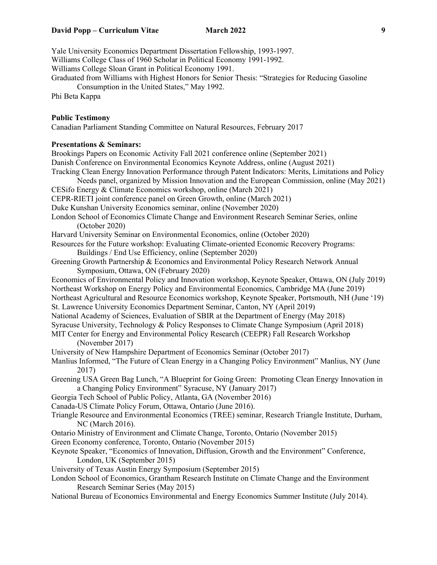Yale University Economics Department Dissertation Fellowship, 1993-1997. Williams College Class of 1960 Scholar in Political Economy 1991-1992. Williams College Sloan Grant in Political Economy 1991. Graduated from Williams with Highest Honors for Senior Thesis: "Strategies for Reducing Gasoline Consumption in the United States," May 1992. Phi Beta Kappa **Public Testimony** Canadian Parliament Standing Committee on Natural Resources, February 2017 **Presentations & Seminars:** Brookings Papers on Economic Activity Fall 2021 conference online (September 2021) Danish Conference on Environmental Economics Keynote Address, online (August 2021) Tracking Clean Energy Innovation Performance through Patent Indicators: Merits, Limitations and Policy Needs panel, organized by Mission Innovation and the European Commission, online (May 2021) CESifo Energy & Climate Economics workshop, online (March 2021) CEPR-RIETI joint conference panel on Green Growth, online (March 2021) Duke Kunshan University Economics seminar, online (November 2020) London School of Economics Climate Change and Environment Research Seminar Series, online (October 2020) Harvard University Seminar on Environmental Economics, online (October 2020) Resources for the Future workshop: Evaluating Climate-oriented Economic Recovery Programs: Buildings / End Use Efficiency, online (September 2020) Greening Growth Partnership & Economics and Environmental Policy Research Network Annual Symposium, Ottawa, ON (February 2020) Economics of Environmental Policy and Innovation workshop, Keynote Speaker, Ottawa, ON (July 2019) Northeast Workshop on Energy Policy and Environmental Economics, Cambridge MA (June 2019) Northeast Agricultural and Resource Economics workshop, Keynote Speaker, Portsmouth, NH (June '19) St. Lawrence University Economics Department Seminar, Canton, NY (April 2019) National Academy of Sciences, Evaluation of SBIR at the Department of Energy (May 2018) Syracuse University, Technology & Policy Responses to Climate Change Symposium (April 2018) MIT Center for Energy and Environmental Policy Research (CEEPR) Fall Research Workshop (November 2017) University of New Hampshire Department of Economics Seminar (October 2017) Manlius Informed, "The Future of Clean Energy in a Changing Policy Environment" Manlius, NY (June 2017) Greening USA Green Bag Lunch, "A Blueprint for Going Green: Promoting Clean Energy Innovation in a Changing Policy Environment" Syracuse, NY (January 2017) Georgia Tech School of Public Policy, Atlanta, GA (November 2016) Canada-US Climate Policy Forum, Ottawa, Ontario (June 2016). Triangle Resource and Environmental Economics (TREE) seminar, Research Triangle Institute, Durham, NC (March 2016). Ontario Ministry of Environment and Climate Change, Toronto, Ontario (November 2015) Green Economy conference, Toronto, Ontario (November 2015) Keynote Speaker, "Economics of Innovation, Diffusion, Growth and the Environment" Conference, London, UK (September 2015) University of Texas Austin Energy Symposium (September 2015) London School of Economics, Grantham Research Institute on Climate Change and the Environment Research Seminar Series (May 2015) National Bureau of Economics Environmental and Energy Economics Summer Institute (July 2014).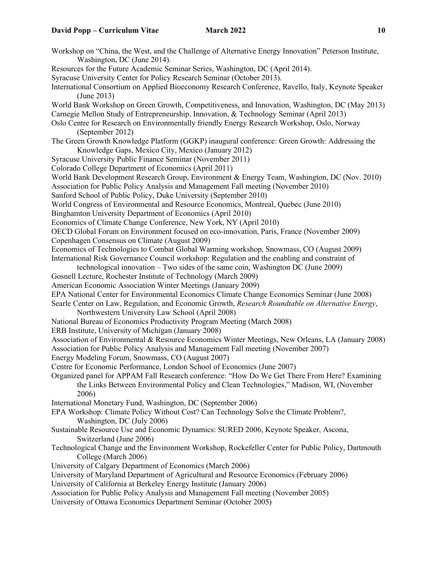Workshop on "China, the West, and the Challenge of Alternative Energy Innovation" Peterson Institute, Washington, DC (June 2014). Resources for the Future Academic Seminar Series, Washington, DC (April 2014). Syracuse University Center for Policy Research Seminar (October 2013). International Consortium on Applied Bioeconomy Research Conference, Ravello, Italy, Keynote Speaker (June 2013) World Bank Workshop on Green Growth, Competitiveness, and Innovation, Washington, DC (May 2013) Carnegie Mellon Study of Entrepreneurship, Innovation, & Technology Seminar (April 2013) Oslo Centre for Research on Environmentally friendly Energy Research Workshop, Oslo, Norway (September 2012) The Green Growth Knowledge Platform (GGKP) inaugural conference: Green Growth: Addressing the Knowledge Gaps, Mexico City, Mexico (January 2012) Syracuse University Public Finance Seminar (November 2011) Colorado College Department of Economics (April 2011) World Bank Development Research Group, Environment & Energy Team, Washington, DC (Nov. 2010) Association for Public Policy Analysis and Management Fall meeting (November 2010) Sanford School of Public Policy, Duke University (September 2010) World Congress of Environmental and Resource Economics, Montreal, Quebec (June 2010) Binghamton University Department of Economics (April 2010) Economics of Climate Change Conference, New York, NY (April 2010) OECD Global Forum on Environment focused on eco-innovation, Paris, France (November 2009) Copenhagen Consensus on Climate (August 2009) Economics of Technologies to Combat Global Warming workshop, Snowmass, CO (August 2009) International Risk Governance Council workshop: Regulation and the enabling and constraint of technological innovation – Two sides of the same coin, Washington DC (June 2009) Gosnell Lecture, Rochester Institute of Technology (March 2009) American Economic Association Winter Meetings (January 2009) EPA National Center for Environmental Economics Climate Change Economics Seminar (June 2008) Searle Center on Law, Regulation, and Economic Growth, *Research Roundtable on Alternative Energy*, Northwestern University Law School (April 2008) National Bureau of Economics Productivity Program Meeting (March 2008) ERB Institute, University of Michigan (January 2008) Association of Environmental & Resource Economics Winter Meetings, New Orleans, LA (January 2008) Association for Public Policy Analysis and Management Fall meeting (November 2007) Energy Modeling Forum, Snowmass, CO (August 2007) Centre for Economic Performance, London School of Economics (June 2007) Organized panel for APPAM Fall Research conference: "How Do We Get There From Here? Examining the Links Between Environmental Policy and Clean Technologies," Madison, WI, (November 2006) International Monetary Fund, Washington, DC (September 2006) EPA Workshop: Climate Policy Without Cost? Can Technology Solve the Climate Problem?, Washington, DC (July 2006) Sustainable Resource Use and Economic Dynamics: SURED 2006, Keynote Speaker, Ascona, Switzerland (June 2006) Technological Change and the Environment Workshop, Rockefeller Center for Public Policy, Dartmouth College (March 2006) University of Calgary Department of Economics (March 2006) University of Maryland Department of Agricultural and Resource Economics (February 2006) University of California at Berkeley Energy Institute (January 2006) Association for Public Policy Analysis and Management Fall meeting (November 2005) University of Ottawa Economics Department Seminar (October 2005)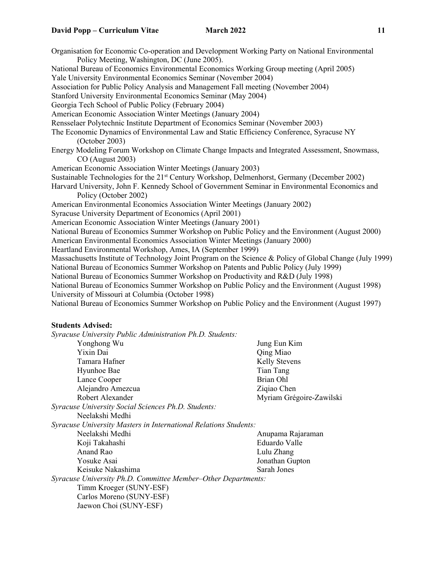Organisation for Economic Co-operation and Development Working Party on National Environmental Policy Meeting, Washington, DC (June 2005). National Bureau of Economics Environmental Economics Working Group meeting (April 2005) Yale University Environmental Economics Seminar (November 2004) Association for Public Policy Analysis and Management Fall meeting (November 2004) Stanford University Environmental Economics Seminar (May 2004) Georgia Tech School of Public Policy (February 2004) American Economic Association Winter Meetings (January 2004) Rensselaer Polytechnic Institute Department of Economics Seminar (November 2003) The Economic Dynamics of Environmental Law and Static Efficiency Conference, Syracuse NY (October 2003) Energy Modeling Forum Workshop on Climate Change Impacts and Integrated Assessment, Snowmass, CO (August 2003) American Economic Association Winter Meetings (January 2003) Sustainable Technologies for the 21<sup>st</sup> Century Workshop, Delmenhorst, Germany (December 2002) Harvard University, John F. Kennedy School of Government Seminar in Environmental Economics and Policy (October 2002) American Environmental Economics Association Winter Meetings (January 2002) Syracuse University Department of Economics (April 2001) American Economic Association Winter Meetings (January 2001) National Bureau of Economics Summer Workshop on Public Policy and the Environment (August 2000) American Environmental Economics Association Winter Meetings (January 2000) Heartland Environmental Workshop, Ames, IA (September 1999) Massachusetts Institute of Technology Joint Program on the Science & Policy of Global Change (July 1999) National Bureau of Economics Summer Workshop on Patents and Public Policy (July 1999) National Bureau of Economics Summer Workshop on Productivity and R&D (July 1998) National Bureau of Economics Summer Workshop on Public Policy and the Environment (August 1998) University of Missouri at Columbia (October 1998) National Bureau of Economics Summer Workshop on Public Policy and the Environment (August 1997)

### **Students Advised:**

*Syracuse University Public Administration Ph.D. Students:* Yonghong Wu Jung Eun Kim Qing Miao<br>Kelly Stevens Tamara Hafner Hyunhoe Bae Tian Tang Lance Cooper Brian Ohl Alejandro Amezcua Ziqiao Chen Robert Alexander Myriam Grégoire-Zawilski *Syracuse University Social Sciences Ph.D. Students:* Neelakshi Medhi *Syracuse University Masters in International Relations Students:*  Neelakshi Medhi ah ay kalendar ah ah ah Anupama Rajaraman Koji Takahashi **Eduardo Valle** Anand Rao Lulu Zhang Yosuke Asai Jonathan Gupton Keisuke Nakashima Sarah Jones *Syracuse University Ph.D. Committee Member–Other Departments:* Timm Kroeger (SUNY-ESF) Carlos Moreno (SUNY-ESF) Jaewon Choi (SUNY-ESF)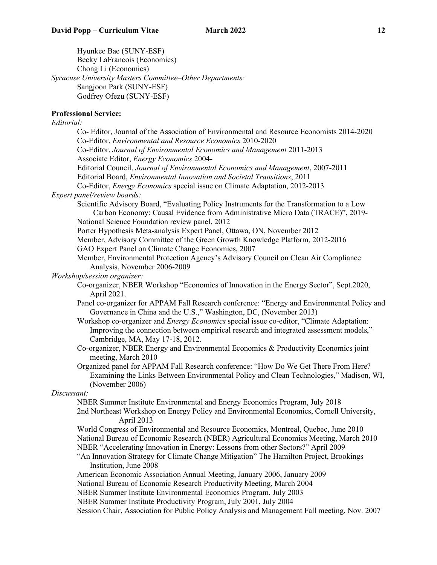Hyunkee Bae (SUNY-ESF) Becky LaFrancois (Economics) Chong Li (Economics) *Syracuse University Masters Committee–Other Departments:*  Sangjoon Park (SUNY-ESF) Godfrey Ofezu (SUNY-ESF)

# **Professional Service:**

# *Editorial:*

| Co-Editor, Journal of the Association of Environmental and Resource Economists 2014-2020                                                                              |
|-----------------------------------------------------------------------------------------------------------------------------------------------------------------------|
| Co-Editor, Environmental and Resource Economics 2010-2020                                                                                                             |
| Co-Editor, Journal of Environmental Economics and Management 2011-2013<br>Associate Editor, Energy Economics 2004-                                                    |
| Editorial Council, Journal of Environmental Economics and Management, 2007-2011                                                                                       |
| Editorial Board, Environmental Innovation and Societal Transitions, 2011                                                                                              |
| Co-Editor, <i>Energy Economics</i> special issue on Climate Adaptation, 2012-2013                                                                                     |
| Expert panel/review boards:                                                                                                                                           |
| Scientific Advisory Board, "Evaluating Policy Instruments for the Transformation to a Low                                                                             |
| Carbon Economy: Causal Evidence from Administrative Micro Data (TRACE)", 2019-                                                                                        |
| National Science Foundation review panel, 2012                                                                                                                        |
| Porter Hypothesis Meta-analysis Expert Panel, Ottawa, ON, November 2012                                                                                               |
| Member, Advisory Committee of the Green Growth Knowledge Platform, 2012-2016                                                                                          |
| GAO Expert Panel on Climate Change Economics, 2007                                                                                                                    |
| Member, Environmental Protection Agency's Advisory Council on Clean Air Compliance                                                                                    |
| Analysis, November 2006-2009                                                                                                                                          |
| Workshop/session organizer:                                                                                                                                           |
| Co-organizer, NBER Workshop "Economics of Innovation in the Energy Sector", Sept.2020,                                                                                |
| April 2021.                                                                                                                                                           |
| Panel co-organizer for APPAM Fall Research conference: "Energy and Environmental Policy and                                                                           |
| Governance in China and the U.S.," Washington, DC, (November 2013)<br>Workshop co-organizer and <i>Energy Economics</i> special issue co-editor, "Climate Adaptation: |
| Improving the connection between empirical research and integrated assessment models,"                                                                                |
| Cambridge, MA, May 17-18, 2012.                                                                                                                                       |
| Co-organizer, NBER Energy and Environmental Economics & Productivity Economics joint                                                                                  |
| meeting, March 2010                                                                                                                                                   |
| Organized panel for APPAM Fall Research conference: "How Do We Get There From Here?                                                                                   |
| Examining the Links Between Environmental Policy and Clean Technologies," Madison, WI,                                                                                |
| (November 2006)                                                                                                                                                       |
| Discussant:                                                                                                                                                           |
| NBER Summer Institute Environmental and Energy Economics Program, July 2018                                                                                           |
| 2nd Northeast Workshop on Energy Policy and Environmental Economics, Cornell University,<br>April 2013                                                                |
| World Congress of Environmental and Resource Economics, Montreal, Quebec, June 2010                                                                                   |
| National Bureau of Economic Research (NBER) Agricultural Economics Meeting, March 2010                                                                                |
| NBER "Accelerating Innovation in Energy: Lessons from other Sectors?" April 2009                                                                                      |
| "An Innovation Strategy for Climate Change Mitigation" The Hamilton Project, Brookings<br>Institution, June 2008                                                      |
| American Economic Association Annual Meeting, January 2006, January 2009                                                                                              |
| National Bureau of Economic Research Productivity Meeting, March 2004                                                                                                 |
| NBER Summer Institute Environmental Economics Program, July 2003                                                                                                      |
| NBER Summer Institute Productivity Program, July 2001, July 2004                                                                                                      |
| Session Chair, Association for Public Policy Analysis and Management Fall meeting, Nov. 2007                                                                          |
|                                                                                                                                                                       |